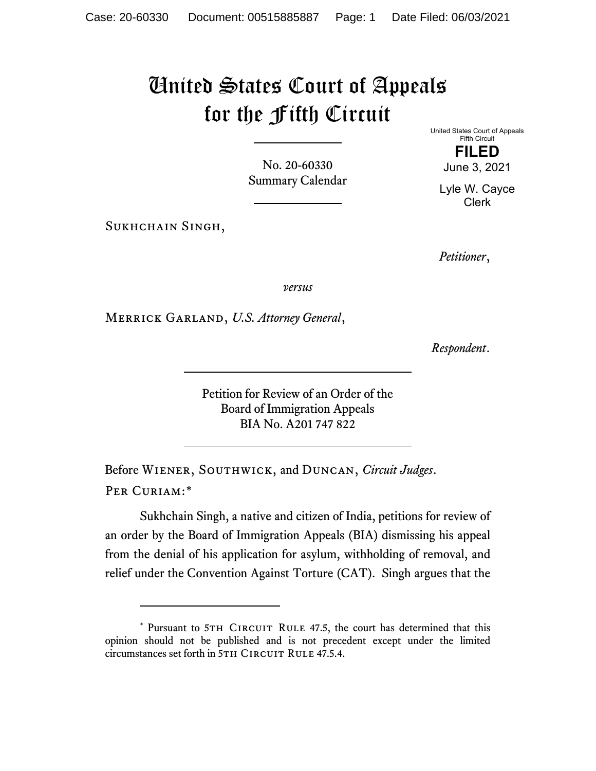## United States Court of Appeals for the Fifth Circuit

No. 20-60330 Summary Calendar

SUKHCHAIN SINGH,

United States Court of Appeals Fifth Circuit **FILED**

June 3, 2021

Lyle W. Cayce Clerk

*Petitioner*,

*versus*

Merrick Garland, *U.S. Attorney General*,

*Respondent*.

Petition for Review of an Order of the Board of Immigration Appeals BIA No. A201 747 822

Before Wiener, Southwick, and Duncan, *Circuit Judges*. Per Curiam:[\\*](#page-0-0)

Sukhchain Singh, a native and citizen of India, petitions for review of an order by the Board of Immigration Appeals (BIA) dismissing his appeal from the denial of his application for asylum, withholding of removal, and relief under the Convention Against Torture (CAT). Singh argues that the

<span id="page-0-0"></span><sup>\*</sup> Pursuant to 5TH CIRCUIT RULE 47.5, the court has determined that this opinion should not be published and is not precedent except under the limited circumstances set forth in 5TH CIRCUIT RULE 47.5.4.